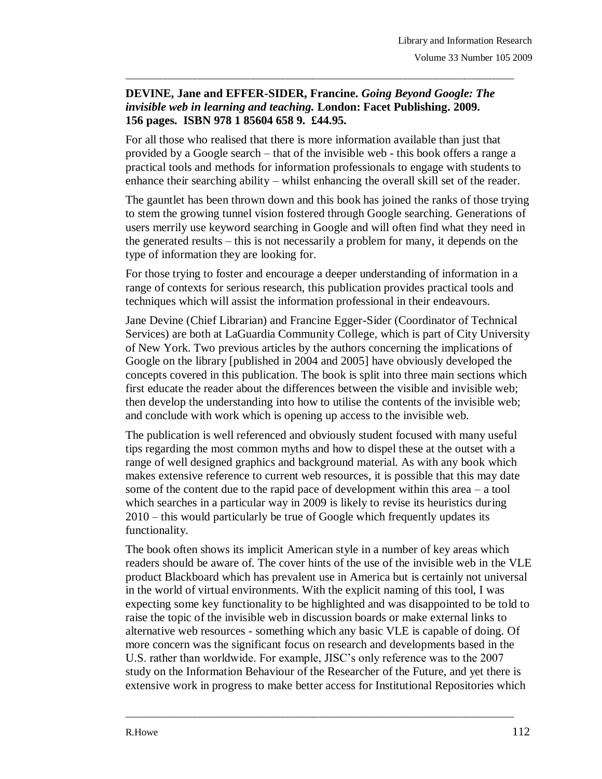## **DEVINE, Jane and EFFER-SIDER, Francine.** *Going Beyond Google: The invisible web in learning and teaching.* **London: Facet Publishing. 2009. 156 pages. ISBN 978 1 85604 658 9. £44.95.**

\_\_\_\_\_\_\_\_\_\_\_\_\_\_\_\_\_\_\_\_\_\_\_\_\_\_\_\_\_\_\_\_\_\_\_\_\_\_\_\_\_\_\_\_\_\_\_\_\_\_\_\_\_\_\_\_\_\_\_\_\_\_\_\_\_\_\_\_\_\_\_\_\_\_\_\_\_\_\_

For all those who realised that there is more information available than just that provided by a Google search – that of the invisible web - this book offers a range a practical tools and methods for information professionals to engage with students to enhance their searching ability – whilst enhancing the overall skill set of the reader.

The gauntlet has been thrown down and this book has joined the ranks of those trying to stem the growing tunnel vision fostered through Google searching. Generations of users merrily use keyword searching in Google and will often find what they need in the generated results – this is not necessarily a problem for many, it depends on the type of information they are looking for.

For those trying to foster and encourage a deeper understanding of information in a range of contexts for serious research, this publication provides practical tools and techniques which will assist the information professional in their endeavours.

Jane Devine (Chief Librarian) and Francine Egger-Sider (Coordinator of Technical Services) are both at LaGuardia Community College, which is part of City University of New York. Two previous articles by the authors concerning the implications of Google on the library [published in 2004 and 2005] have obviously developed the concepts covered in this publication. The book is split into three main sections which first educate the reader about the differences between the visible and invisible web; then develop the understanding into how to utilise the contents of the invisible web; and conclude with work which is opening up access to the invisible web.

The publication is well referenced and obviously student focused with many useful tips regarding the most common myths and how to dispel these at the outset with a range of well designed graphics and background material. As with any book which makes extensive reference to current web resources, it is possible that this may date some of the content due to the rapid pace of development within this area – a tool which searches in a particular way in 2009 is likely to revise its heuristics during 2010 – this would particularly be true of Google which frequently updates its functionality.

The book often shows its implicit American style in a number of key areas which readers should be aware of. The cover hints of the use of the invisible web in the VLE product Blackboard which has prevalent use in America but is certainly not universal in the world of virtual environments. With the explicit naming of this tool, I was expecting some key functionality to be highlighted and was disappointed to be told to raise the topic of the invisible web in discussion boards or make external links to alternative web resources - something which any basic VLE is capable of doing. Of more concern was the significant focus on research and developments based in the U.S. rather than worldwide. For example, JISC's only reference was to the 2007 study on the Information Behaviour of the Researcher of the Future, and yet there is extensive work in progress to make better access for Institutional Repositories which

\_\_\_\_\_\_\_\_\_\_\_\_\_\_\_\_\_\_\_\_\_\_\_\_\_\_\_\_\_\_\_\_\_\_\_\_\_\_\_\_\_\_\_\_\_\_\_\_\_\_\_\_\_\_\_\_\_\_\_\_\_\_\_\_\_\_\_\_\_\_\_\_\_\_\_\_\_\_\_